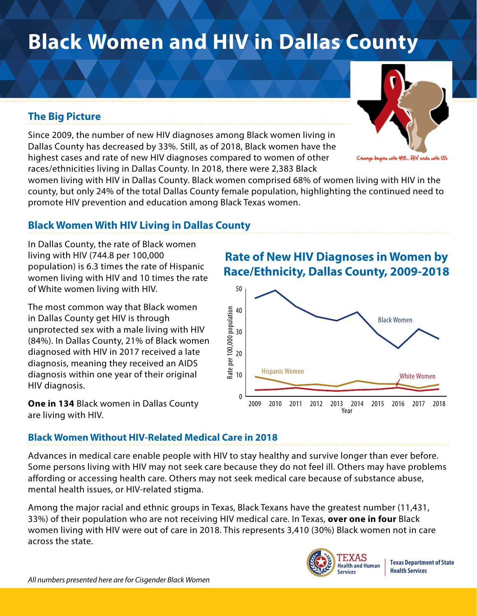# **Black Women and HIV in Dallas County**

## **The Big Picture**

Since 2009, the number of new HIV diagnoses among Black women living in Dallas County has decreased by 33%. Still, as of 2018, Black women have the highest cases and rate of new HIV diagnoses compared to women of other races/ethnicities living in Dallas County. In 2018, there were 2,383 Black

women living with HIV in Dallas County. Black women comprised 68% of women living with HIV in the county, but only 24% of the total Dallas County female population, highlighting the continued need to promote HIV prevention and education among Black Texas women.

### **Black Women With HIV Living in Dallas County**

In Dallas County, the rate of Black women living with HIV (744.8 per 100,000 population) is 6.3 times the rate of Hispanic women living with HIV and 10 times the rate of White women living with HIV.

The most common way that Black women in Dallas County get HIV is through unprotected sex with a male living with HIV (84%). In Dallas County, 21% of Black women diagnosed with HIV in 2017 received a late diagnosis, meaning they received an AIDS diagnosis within one year of their original HIV diagnosis.

**One in 134** Black women in Dallas County are living with HIV.

## **Rate of New HIV Diagnoses in Women by Race/Ethnicity, Dallas County, 2009-2018**



#### **Black Women Without HIV-Related Medical Care in 2018**

Advances in medical care enable people with HIV to stay healthy and survive longer than ever before. Some persons living with HIV may not seek care because they do not feel ill. Others may have problems affording or accessing health care. Others may not seek medical care because of substance abuse, mental health issues, or HIV-related stigma.

Among the major racial and ethnic groups in Texas, Black Texans have the greatest number (11,431, 33%) of their population who are not receiving HIV medical care. In Texas, **over one in four** Black women living with HIV were out of care in 2018. This represents 3,410 (30%) Black women not in care across the state.



**Texas Department of State Health Services**



is with ME...HIV ends with US